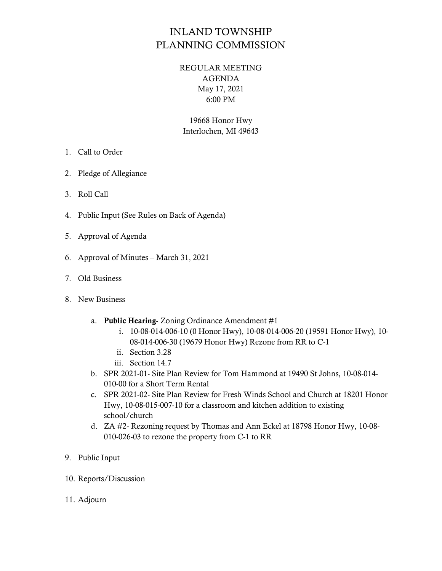## INLAND TOWNSHIP PLANNING COMMISSION

## REGULAR MEETING AGENDA May 17, 2021 6:00 PM

19668 Honor Hwy Interlochen, MI 49643

- 1. Call to Order
- 2. Pledge of Allegiance
- 3. Roll Call
- 4. Public Input (See Rules on Back of Agenda)
- 5. Approval of Agenda
- 6. Approval of Minutes March 31, 2021
- 7. Old Business
- 8. New Business
	- a. Public Hearing- Zoning Ordinance Amendment #1
		- i. 10-08-014-006-10 (0 Honor Hwy), 10-08-014-006-20 (19591 Honor Hwy), 10- 08-014-006-30 (19679 Honor Hwy) Rezone from RR to C-1
		- ii. Section 3.28
		- iii. Section 14.7
	- b. SPR 2021-01- Site Plan Review for Tom Hammond at 19490 St Johns, 10-08-014- 010-00 for a Short Term Rental
	- c. SPR 2021-02- Site Plan Review for Fresh Winds School and Church at 18201 Honor Hwy, 10-08-015-007-10 for a classroom and kitchen addition to existing school/church
	- d. ZA #2- Rezoning request by Thomas and Ann Eckel at 18798 Honor Hwy, 10-08- 010-026-03 to rezone the property from C-1 to RR
- 9. Public Input
- 10. Reports/Discussion
- 11. Adjourn